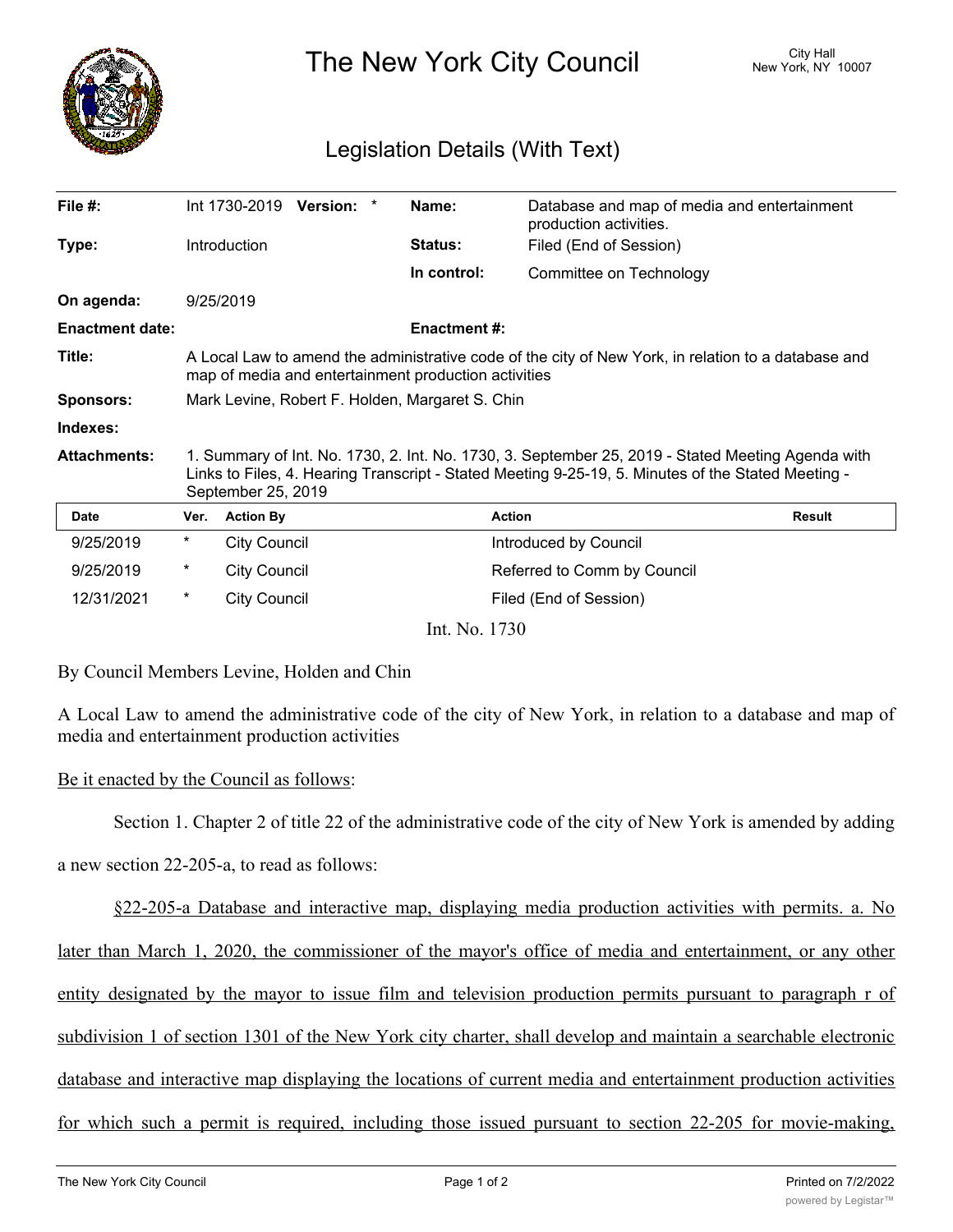

The New York City Council New York, NY 10007

## Legislation Details (With Text)

| File #:                |                                                                                                                                                                                                                               | Int 1730-2019       | <b>Version:</b> |  | Name:               | Database and map of media and entertainment<br>production activities. |               |
|------------------------|-------------------------------------------------------------------------------------------------------------------------------------------------------------------------------------------------------------------------------|---------------------|-----------------|--|---------------------|-----------------------------------------------------------------------|---------------|
| Type:                  |                                                                                                                                                                                                                               | <b>Introduction</b> |                 |  | <b>Status:</b>      | Filed (End of Session)                                                |               |
|                        |                                                                                                                                                                                                                               |                     |                 |  | In control:         | Committee on Technology                                               |               |
| On agenda:             |                                                                                                                                                                                                                               | 9/25/2019           |                 |  |                     |                                                                       |               |
| <b>Enactment date:</b> |                                                                                                                                                                                                                               |                     |                 |  | <b>Enactment #:</b> |                                                                       |               |
| Title:                 | A Local Law to amend the administrative code of the city of New York, in relation to a database and<br>map of media and entertainment production activities                                                                   |                     |                 |  |                     |                                                                       |               |
| <b>Sponsors:</b>       | Mark Levine, Robert F. Holden, Margaret S. Chin                                                                                                                                                                               |                     |                 |  |                     |                                                                       |               |
| Indexes:               |                                                                                                                                                                                                                               |                     |                 |  |                     |                                                                       |               |
| <b>Attachments:</b>    | 1. Summary of Int. No. 1730, 2. Int. No. 1730, 3. September 25, 2019 - Stated Meeting Agenda with<br>Links to Files, 4. Hearing Transcript - Stated Meeting 9-25-19, 5. Minutes of the Stated Meeting -<br>September 25, 2019 |                     |                 |  |                     |                                                                       |               |
| <b>Date</b>            | Ver.                                                                                                                                                                                                                          | <b>Action By</b>    |                 |  |                     | <b>Action</b>                                                         | <b>Result</b> |
| 9/25/2019              | *                                                                                                                                                                                                                             | <b>City Council</b> |                 |  |                     | Introduced by Council                                                 |               |
| 9/25/2019              | *                                                                                                                                                                                                                             | <b>City Council</b> |                 |  |                     | Referred to Comm by Council                                           |               |
| 12/31/2021             | $^\star$                                                                                                                                                                                                                      | <b>City Council</b> |                 |  |                     | Filed (End of Session)                                                |               |
|                        |                                                                                                                                                                                                                               |                     |                 |  | Int. No. 1730       |                                                                       |               |

By Council Members Levine, Holden and Chin

A Local Law to amend the administrative code of the city of New York, in relation to a database and map of media and entertainment production activities

Be it enacted by the Council as follows:

Section 1. Chapter 2 of title 22 of the administrative code of the city of New York is amended by adding

a new section 22-205-a, to read as follows:

§22-205-a Database and interactive map, displaying media production activities with permits. a. No later than March 1, 2020, the commissioner of the mayor's office of media and entertainment, or any other entity designated by the mayor to issue film and television production permits pursuant to paragraph r of subdivision 1 of section 1301 of the New York city charter, shall develop and maintain a searchable electronic database and interactive map displaying the locations of current media and entertainment production activities for which such a permit is required, including those issued pursuant to section 22-205 for movie-making,